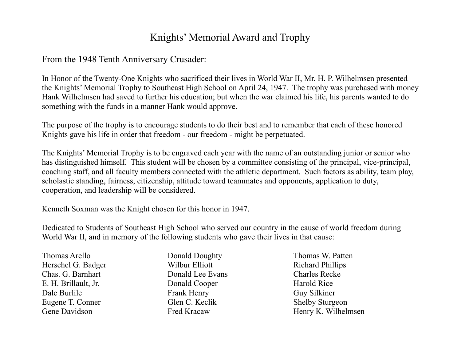## Knights' Memorial Award and Trophy

From the 1948 Tenth Anniversary Crusader:

In Honor of the Twenty-One Knights who sacrificed their lives in World War II, Mr. H. P. Wilhelmsen presented the Knights' Memorial Trophy to Southeast High School on April 24, 1947. The trophy was purchased with money Hank Wilhelmsen had saved to further his education; but when the war claimed his life, his parents wanted to do something with the funds in a manner Hank would approve.

The purpose of the trophy is to encourage students to do their best and to remember that each of these honored Knights gave his life in order that freedom - our freedom - might be perpetuated.

The Knights' Memorial Trophy is to be engraved each year with the name of an outstanding junior or senior who has distinguished himself. This student will be chosen by a committee consisting of the principal, vice-principal, coaching staff, and all faculty members connected with the athletic department. Such factors as ability, team play, scholastic standing, fairness, citizenship, attitude toward teammates and opponents, application to duty, cooperation, and leadership will be considered.

Kenneth Soxman was the Knight chosen for this honor in 1947.

Dedicated to Students of Southeast High School who served our country in the cause of world freedom during World War II, and in memory of the following students who gave their lives in that cause:

Thomas Arello **Donald Doughty** Thomas W. Patten Herschel G. Badger Wilbur Elliott Richard Phillips Chas. G. Barnhart Donald Lee Evans Charles Recke E. H. Brillault, Jr. Donald Cooper Harold Rice Dale Burlile Frank Henry Guy Silkiner Eugene T. Conner Glen C. Keclik Shelby Sturgeon

- 
- Gene Davidson Fred Kracaw Henry K. Wilhelmsen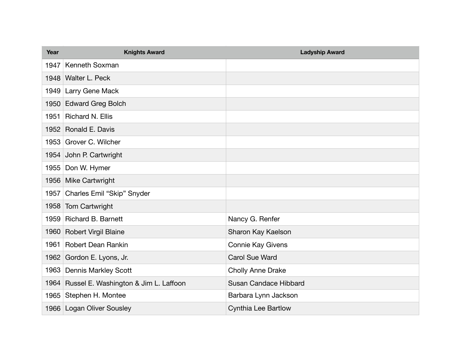| Year | <b>Knights Award</b>                       | <b>Ladyship Award</b>        |
|------|--------------------------------------------|------------------------------|
| 1947 | <b>Kenneth Soxman</b>                      |                              |
|      | 1948 Walter L. Peck                        |                              |
|      | 1949 Larry Gene Mack                       |                              |
|      | 1950 Edward Greg Bolch                     |                              |
| 1951 | <b>Richard N. Ellis</b>                    |                              |
|      | 1952 Ronald E. Davis                       |                              |
|      | 1953 Grover C. Wilcher                     |                              |
|      | 1954 John P. Cartwright                    |                              |
| 1955 | Don W. Hymer                               |                              |
|      | 1956 Mike Cartwright                       |                              |
|      | 1957 Charles Emil "Skip" Snyder            |                              |
|      | 1958 Tom Cartwright                        |                              |
|      | 1959 Richard B. Barnett                    | Nancy G. Renfer              |
|      | 1960 Robert Virgil Blaine                  | Sharon Kay Kaelson           |
| 1961 | <b>Robert Dean Rankin</b>                  | <b>Connie Kay Givens</b>     |
|      | 1962 Gordon E. Lyons, Jr.                  | <b>Carol Sue Ward</b>        |
| 1963 | <b>Dennis Markley Scott</b>                | <b>Cholly Anne Drake</b>     |
|      | 1964 Russel E. Washington & Jim L. Laffoon | <b>Susan Candace Hibbard</b> |
|      | 1965 Stephen H. Montee                     | Barbara Lynn Jackson         |
|      | 1966 Logan Oliver Sousley                  | <b>Cynthia Lee Bartlow</b>   |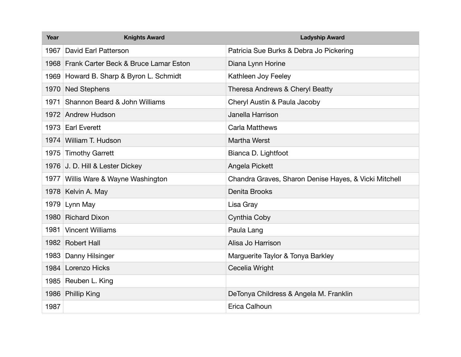| Year | <b>Knights Award</b>                       | <b>Ladyship Award</b>                                 |
|------|--------------------------------------------|-------------------------------------------------------|
| 1967 | David Earl Patterson                       | Patricia Sue Burks & Debra Jo Pickering               |
|      | 1968 Frank Carter Beck & Bruce Lamar Eston | Diana Lynn Horine                                     |
|      | 1969 Howard B. Sharp & Byron L. Schmidt    | Kathleen Joy Feeley                                   |
|      | 1970 Ned Stephens                          | Theresa Andrews & Cheryl Beatty                       |
| 1971 | Shannon Beard & John Williams              | Cheryl Austin & Paula Jacoby                          |
|      | 1972 Andrew Hudson                         | Janella Harrison                                      |
|      | 1973 Earl Everett                          | <b>Carla Matthews</b>                                 |
|      | 1974 William T. Hudson                     | Martha Werst                                          |
|      | 1975 Timothy Garrett                       | Bianca D. Lightfoot                                   |
|      | 1976 J. D. Hill & Lester Dickey            | Angela Pickett                                        |
|      | 1977 Willis Ware & Wayne Washington        | Chandra Graves, Sharon Denise Hayes, & Vicki Mitchell |
|      | 1978 Kelvin A. May                         | Denita Brooks                                         |
|      | 1979 Lynn May                              | Lisa Gray                                             |
|      | 1980 Richard Dixon                         | Cynthia Coby                                          |
| 1981 | <b>Vincent Williams</b>                    | Paula Lang                                            |
|      | 1982 Robert Hall                           | Alisa Jo Harrison                                     |
| 1983 | Danny Hilsinger                            | Marguerite Taylor & Tonya Barkley                     |
|      | 1984 Lorenzo Hicks                         | Cecelia Wright                                        |
|      | 1985 Reuben L. King                        |                                                       |
|      | 1986 Phillip King                          | DeTonya Childress & Angela M. Franklin                |
| 1987 |                                            | Erica Calhoun                                         |